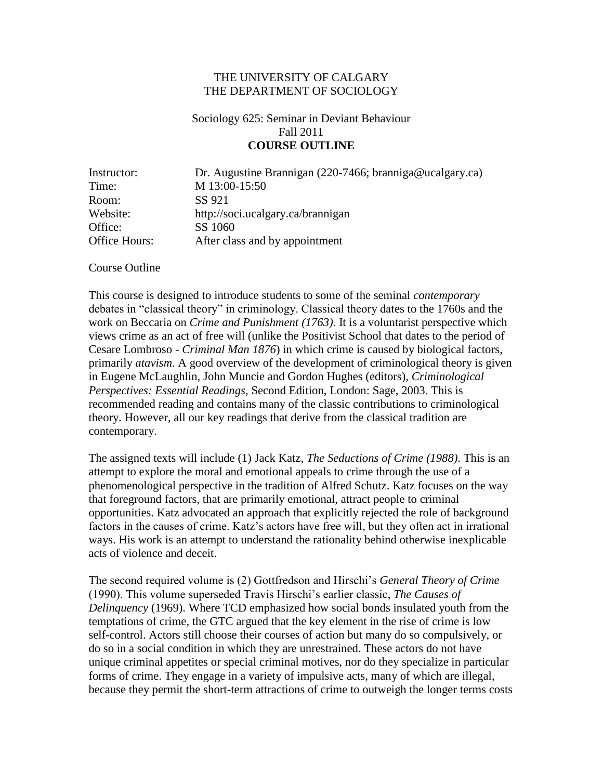#### THE UNIVERSITY OF CALGARY THE DEPARTMENT OF SOCIOLOGY

# Sociology 625: Seminar in Deviant Behaviour Fall 2011 **COURSE OUTLINE**

| Instructor:   | Dr. Augustine Brannigan (220-7466; branniga@ucalgary.ca) |  |  |
|---------------|----------------------------------------------------------|--|--|
| Time:         | M 13:00-15:50                                            |  |  |
| Room:         | SS 921                                                   |  |  |
| Website:      | http://soci.ucalgary.ca/brannigan                        |  |  |
| Office:       | SS 1060                                                  |  |  |
| Office Hours: | After class and by appointment                           |  |  |

Course Outline

This course is designed to introduce students to some of the seminal *contemporary* debates in "classical theory" in criminology. Classical theory dates to the 1760s and the work on Beccaria on *Crime and Punishment (1763)*. It is a voluntarist perspective which views crime as an act of free will (unlike the Positivist School that dates to the period of Cesare Lombroso - *Criminal Man 1876*) in which crime is caused by biological factors, primarily *atavism*. A good overview of the development of criminological theory is given in Eugene McLaughlin, John Muncie and Gordon Hughes (editors), *Criminological Perspectives: Essential Readings*, Second Edition, London: Sage, 2003. This is recommended reading and contains many of the classic contributions to criminological theory. However, all our key readings that derive from the classical tradition are contemporary.

The assigned texts will include (1) Jack Katz, *The Seductions of Crime (1988)*. This is an attempt to explore the moral and emotional appeals to crime through the use of a phenomenological perspective in the tradition of Alfred Schutz. Katz focuses on the way that foreground factors, that are primarily emotional, attract people to criminal opportunities. Katz advocated an approach that explicitly rejected the role of background factors in the causes of crime. Katz's actors have free will, but they often act in irrational ways. His work is an attempt to understand the rationality behind otherwise inexplicable acts of violence and deceit.

The second required volume is (2) Gottfredson and Hirschi's *General Theory of Crime* (1990). This volume superseded Travis Hirschi's earlier classic, *The Causes of Delinquency* (1969). Where TCD emphasized how social bonds insulated youth from the temptations of crime, the GTC argued that the key element in the rise of crime is low self-control. Actors still choose their courses of action but many do so compulsively, or do so in a social condition in which they are unrestrained. These actors do not have unique criminal appetites or special criminal motives, nor do they specialize in particular forms of crime. They engage in a variety of impulsive acts, many of which are illegal, because they permit the short-term attractions of crime to outweigh the longer terms costs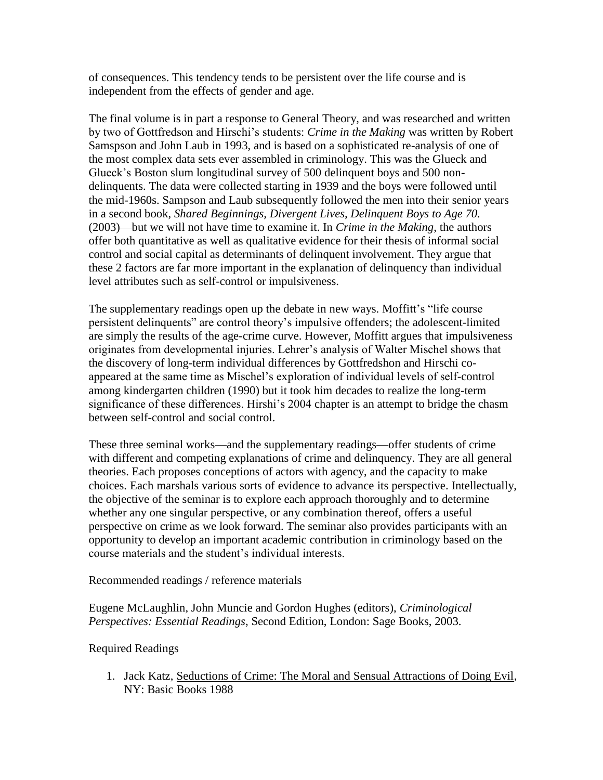of consequences. This tendency tends to be persistent over the life course and is independent from the effects of gender and age.

The final volume is in part a response to General Theory, and was researched and written by two of Gottfredson and Hirschi's students: *Crime in the Making* was written by Robert Samspson and John Laub in 1993, and is based on a sophisticated re-analysis of one of the most complex data sets ever assembled in criminology. This was the Glueck and Glueck's Boston slum longitudinal survey of 500 delinquent boys and 500 nondelinquents. The data were collected starting in 1939 and the boys were followed until the mid-1960s. Sampson and Laub subsequently followed the men into their senior years in a second book, *Shared Beginnings, Divergent Lives, Delinquent Boys to Age 70.*  (2003)—but we will not have time to examine it. In *Crime in the Making*, the authors offer both quantitative as well as qualitative evidence for their thesis of informal social control and social capital as determinants of delinquent involvement. They argue that these 2 factors are far more important in the explanation of delinquency than individual level attributes such as self-control or impulsiveness.

The supplementary readings open up the debate in new ways. Moffitt's "life course" persistent delinquents" are control theory's impulsive offenders; the adolescent-limited are simply the results of the age-crime curve. However, Moffitt argues that impulsiveness originates from developmental injuries. Lehrer's analysis of Walter Mischel shows that the discovery of long-term individual differences by Gottfredshon and Hirschi coappeared at the same time as Mischel's exploration of individual levels of self-control among kindergarten children (1990) but it took him decades to realize the long-term significance of these differences. Hirshi's 2004 chapter is an attempt to bridge the chasm between self-control and social control.

These three seminal works—and the supplementary readings—offer students of crime with different and competing explanations of crime and delinquency. They are all general theories. Each proposes conceptions of actors with agency, and the capacity to make choices. Each marshals various sorts of evidence to advance its perspective. Intellectually, the objective of the seminar is to explore each approach thoroughly and to determine whether any one singular perspective, or any combination thereof, offers a useful perspective on crime as we look forward. The seminar also provides participants with an opportunity to develop an important academic contribution in criminology based on the course materials and the student's individual interests.

Recommended readings / reference materials

Eugene McLaughlin, John Muncie and Gordon Hughes (editors), *Criminological Perspectives: Essential Readings*, Second Edition, London: Sage Books, 2003.

# Required Readings

1. Jack Katz, Seductions of Crime: The Moral and Sensual Attractions of Doing Evil, NY: Basic Books 1988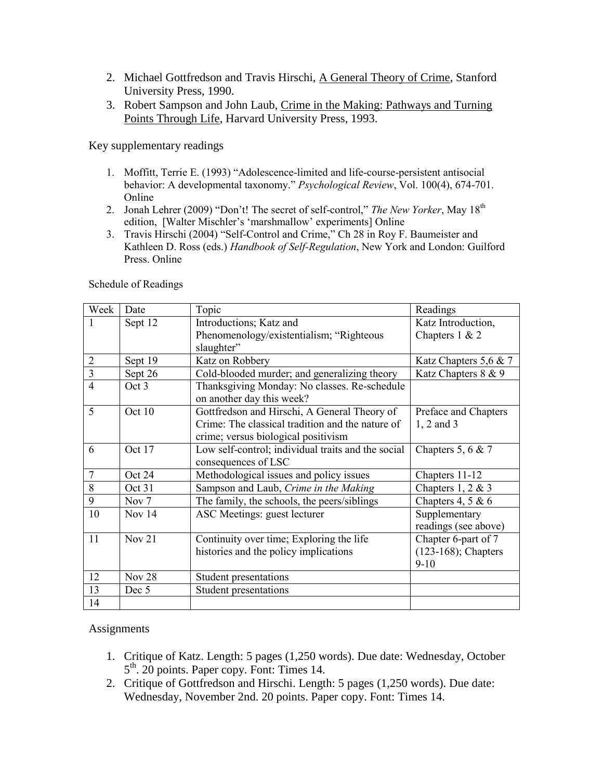- 2. Michael Gottfredson and Travis Hirschi, A General Theory of Crime, Stanford University Press, 1990.
- 3. Robert Sampson and John Laub, Crime in the Making: Pathways and Turning Points Through Life, Harvard University Press, 1993.

Key supplementary readings

- 1. Moffitt, Terrie E. (1993) "Adolescence-limited and life-course-persistent antisocial behavior: A developmental taxonomy." *Psychological Review*, Vol. 100(4), 674-701. Online
- 2. Jonah Lehrer (2009) "Don't! The secret of self-control," *The New Yorker*, May 18<sup>th</sup> edition, [Walter Mischler's 'marshmallow' experiments] Online
- 3. Travis Hirschi (2004) "Self-Control and Crime," Ch 28 in Roy F. Baumeister and Kathleen D. Ross (eds.) *Handbook of Self-Regulation*, New York and London: Guilford Press. Online

| Week           | Date          | Topic                                              | Readings               |
|----------------|---------------|----------------------------------------------------|------------------------|
| 1              | Sept 12       | Introductions; Katz and                            | Katz Introduction,     |
|                |               | Phenomenology/existentialism; "Righteous           | Chapters $1 & 2$       |
|                |               | slaughter"                                         |                        |
| $\overline{2}$ | Sept 19       | Katz on Robbery                                    | Katz Chapters 5,6 & 7  |
| $\overline{3}$ | Sept 26       | Cold-blooded murder; and generalizing theory       | Katz Chapters 8 & 9    |
| $\overline{4}$ | Oct 3         | Thanksgiving Monday: No classes. Re-schedule       |                        |
|                |               | on another day this week?                          |                        |
| 5              | Oct 10        | Gottfredson and Hirschi, A General Theory of       | Preface and Chapters   |
|                |               | Crime: The classical tradition and the nature of   | 1, 2 and 3             |
|                |               | crime; versus biological positivism                |                        |
| 6              | Oct 17        | Low self-control; individual traits and the social | Chapters 5, 6 & 7      |
|                |               | consequences of LSC                                |                        |
| $\overline{7}$ | Oct 24        | Methodological issues and policy issues            | Chapters 11-12         |
| 8              | Oct 31        | Sampson and Laub, Crime in the Making              | Chapters $1, 2 \& 3$   |
| 9              | Nov $7$       | The family, the schools, the peers/siblings        | Chapters 4, 5 & 6      |
| 10             | Nov $14$      | ASC Meetings: guest lecturer                       | Supplementary          |
|                |               |                                                    | readings (see above)   |
| 11             | Nov 21        | Continuity over time; Exploring the life           | Chapter 6-part of 7    |
|                |               | histories and the policy implications              | $(123-168)$ ; Chapters |
|                |               |                                                    | $9-10$                 |
| 12             | <b>Nov 28</b> | Student presentations                              |                        |
| 13             | Dec 5         | Student presentations                              |                        |
| 14             |               |                                                    |                        |

Schedule of Readings

#### **Assignments**

- 1. Critique of Katz. Length: 5 pages (1,250 words). Due date: Wednesday, October 5<sup>th</sup>. 20 points. Paper copy. Font: Times 14.
- 2. Critique of Gottfredson and Hirschi. Length: 5 pages (1,250 words). Due date: Wednesday, November 2nd. 20 points. Paper copy. Font: Times 14.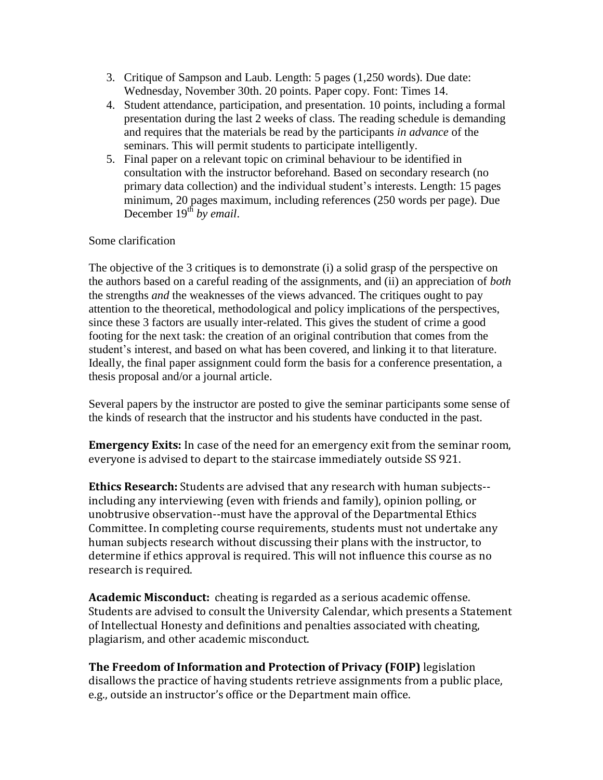- 3. Critique of Sampson and Laub. Length: 5 pages (1,250 words). Due date: Wednesday, November 30th. 20 points. Paper copy. Font: Times 14.
- 4. Student attendance, participation, and presentation. 10 points, including a formal presentation during the last 2 weeks of class. The reading schedule is demanding and requires that the materials be read by the participants *in advance* of the seminars. This will permit students to participate intelligently.
- 5. Final paper on a relevant topic on criminal behaviour to be identified in consultation with the instructor beforehand. Based on secondary research (no primary data collection) and the individual student's interests. Length: 15 pages minimum, 20 pages maximum, including references (250 words per page). Due December 19<sup>th</sup> *by email*.

# Some clarification

The objective of the 3 critiques is to demonstrate (i) a solid grasp of the perspective on the authors based on a careful reading of the assignments, and (ii) an appreciation of *both* the strengths *and* the weaknesses of the views advanced. The critiques ought to pay attention to the theoretical, methodological and policy implications of the perspectives, since these 3 factors are usually inter-related. This gives the student of crime a good footing for the next task: the creation of an original contribution that comes from the student's interest, and based on what has been covered, and linking it to that literature. Ideally, the final paper assignment could form the basis for a conference presentation, a thesis proposal and/or a journal article.

Several papers by the instructor are posted to give the seminar participants some sense of the kinds of research that the instructor and his students have conducted in the past.

**Emergency Exits:** In case of the need for an emergency exit from the seminar room, everyone is advised to depart to the staircase immediately outside SS 921.

**Ethics Research:** Students are advised that any research with human subjects- including any interviewing (even with friends and family), opinion polling, or unobtrusive observation--must have the approval of the Departmental Ethics Committee. In completing course requirements, students must not undertake any human subjects research without discussing their plans with the instructor, to determine if ethics approval is required. This will not influence this course as no research is required.

**Academic Misconduct:** cheating is regarded as a serious academic offense. Students are advised to consult the University Calendar, which presents a Statement of Intellectual Honesty and definitions and penalties associated with cheating, plagiarism, and other academic misconduct.

**The Freedom of Information and Protection of Privacy (FOIP)** legislation disallows the practice of having students retrieve assignments from a public place, e.g., outside an instructor's office or the Department main office.